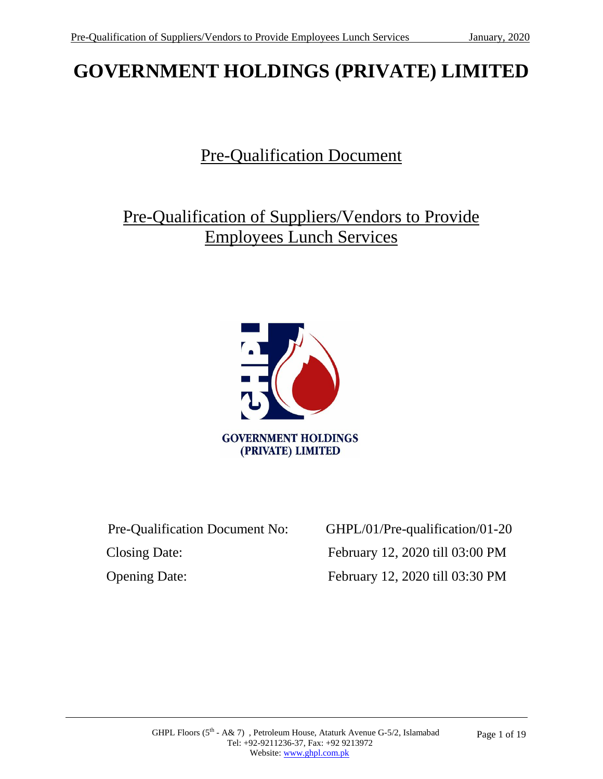# **GOVERNMENT HOLDINGS (PRIVATE) LIMITED**

# Pre-Qualification Document

Pre-Qualification of Suppliers/Vendors to Provide Employees Lunch Services



Closing Date: February 12, 2020 till 03:00 PM

 Pre-Qualification Document No: GHPL/01/Pre-qualification/01-20 Opening Date: February 12, 2020 till 03:30 PM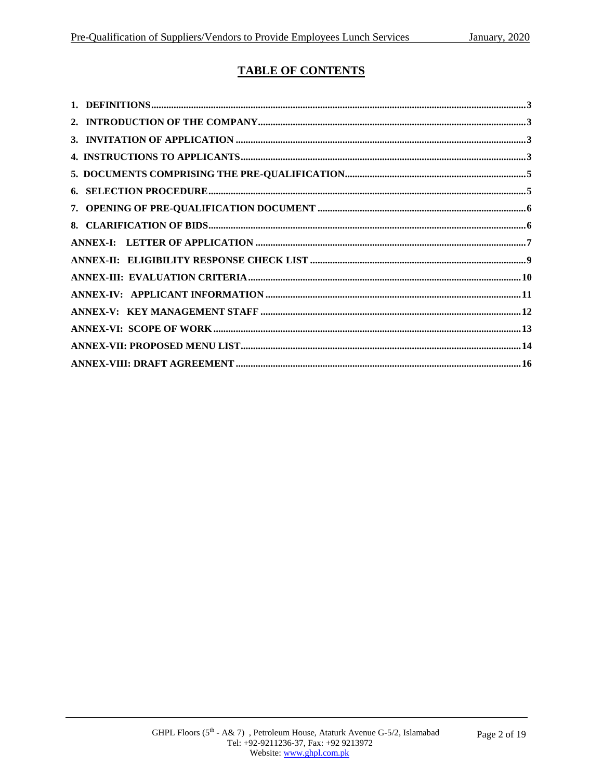#### **TABLE OF CONTENTS**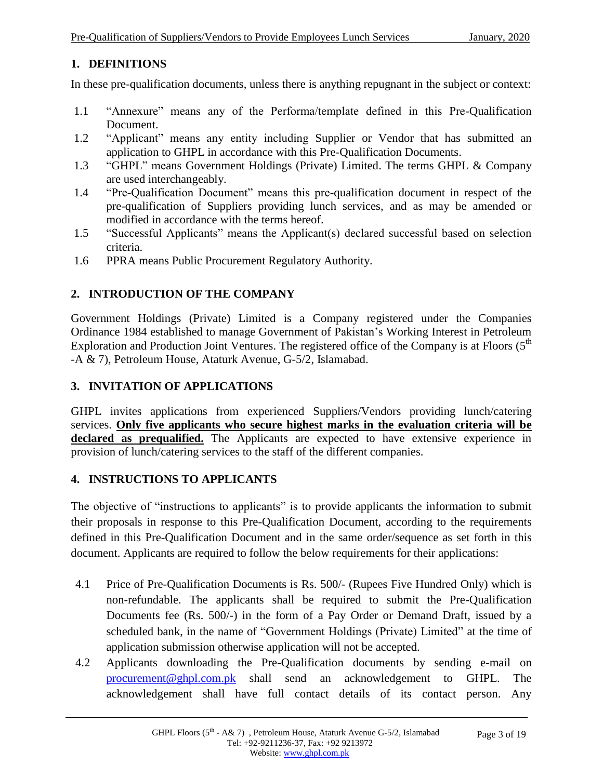#### **1. DEFINITIONS**

In these pre-qualification documents, unless there is anything repugnant in the subject or context:

- 1.1 "Annexure" means any of the Performa/template defined in this Pre-Qualification Document.
- 1.2 "Applicant" means any entity including Supplier or Vendor that has submitted an application to GHPL in accordance with this Pre-Qualification Documents.
- 1.3 "GHPL" means Government Holdings (Private) Limited. The terms GHPL & Company are used interchangeably.
- 1.4 "Pre-Qualification Document" means this pre-qualification document in respect of the pre-qualification of Suppliers providing lunch services, and as may be amended or modified in accordance with the terms hereof.
- 1.5 "Successful Applicants" means the Applicant(s) declared successful based on selection criteria.
- 1.6 PPRA means Public Procurement Regulatory Authority.

#### **2. INTRODUCTION OF THE COMPANY**

Government Holdings (Private) Limited is a Company registered under the Companies Ordinance 1984 established to manage Government of Pakistan's Working Interest in Petroleum Exploration and Production Joint Ventures. The registered office of the Company is at Floors  $(5<sup>th</sup>$ -A & 7), Petroleum House, Ataturk Avenue, G-5/2, Islamabad.

#### **3. INVITATION OF APPLICATIONS**

GHPL invites applications from experienced Suppliers/Vendors providing lunch/catering services. **Only five applicants who secure highest marks in the evaluation criteria will be**  declared as prequalified. The Applicants are expected to have extensive experience in provision of lunch/catering services to the staff of the different companies.

#### **4. INSTRUCTIONS TO APPLICANTS**

The objective of "instructions to applicants" is to provide applicants the information to submit their proposals in response to this Pre-Qualification Document, according to the requirements defined in this Pre-Qualification Document and in the same order/sequence as set forth in this document. Applicants are required to follow the below requirements for their applications:

- 4.1 Price of Pre-Qualification Documents is Rs. 500/- (Rupees Five Hundred Only) which is non-refundable. The applicants shall be required to submit the Pre-Qualification Documents fee (Rs. 500/-) in the form of a Pay Order or Demand Draft, issued by a scheduled bank, in the name of "Government Holdings (Private) Limited" at the time of application submission otherwise application will not be accepted.
- 4.2 Applicants downloading the Pre-Qualification documents by sending e-mail on [procurement@ghpl.com.pk](mailto:procurement@ghpl.com.pk) shall send an acknowledgement to GHPL. The acknowledgement shall have full contact details of its contact person. Any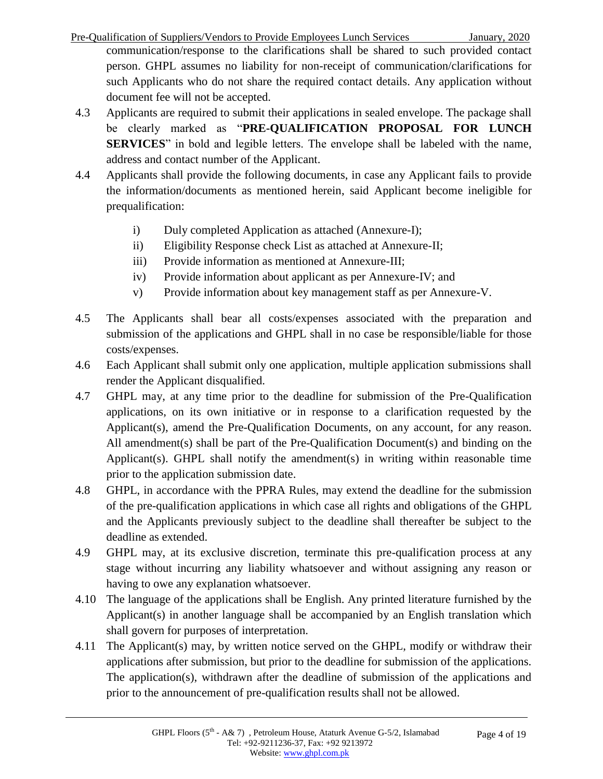Pre-Qualification of Suppliers/Vendors to Provide Employees Lunch Services January, 2020 communication/response to the clarifications shall be shared to such provided contact person. GHPL assumes no liability for non-receipt of communication/clarifications for such Applicants who do not share the required contact details. Any application without document fee will not be accepted.

- 4.3 Applicants are required to submit their applications in sealed envelope. The package shall be clearly marked as "**PRE-QUALIFICATION PROPOSAL FOR LUNCH SERVICES**" in bold and legible letters. The envelope shall be labeled with the name, address and contact number of the Applicant.
- 4.4 Applicants shall provide the following documents, in case any Applicant fails to provide the information/documents as mentioned herein, said Applicant become ineligible for prequalification:
	- i) Duly completed Application as attached (Annexure-I);
	- ii) Eligibility Response check List as attached at Annexure-II;
	- iii) Provide information as mentioned at Annexure-III;
	- iv) Provide information about applicant as per Annexure-IV; and
	- v) Provide information about key management staff as per Annexure-V.
- 4.5 The Applicants shall bear all costs/expenses associated with the preparation and submission of the applications and GHPL shall in no case be responsible/liable for those costs/expenses.
- 4.6 Each Applicant shall submit only one application, multiple application submissions shall render the Applicant disqualified.
- 4.7 GHPL may, at any time prior to the deadline for submission of the Pre-Qualification applications, on its own initiative or in response to a clarification requested by the Applicant(s), amend the Pre-Qualification Documents, on any account, for any reason. All amendment(s) shall be part of the Pre-Qualification Document(s) and binding on the Applicant(s). GHPL shall notify the amendment(s) in writing within reasonable time prior to the application submission date.
- 4.8 GHPL, in accordance with the PPRA Rules, may extend the deadline for the submission of the pre-qualification applications in which case all rights and obligations of the GHPL and the Applicants previously subject to the deadline shall thereafter be subject to the deadline as extended.
- 4.9 GHPL may, at its exclusive discretion, terminate this pre-qualification process at any stage without incurring any liability whatsoever and without assigning any reason or having to owe any explanation whatsoever.
- 4.10 The language of the applications shall be English. Any printed literature furnished by the Applicant(s) in another language shall be accompanied by an English translation which shall govern for purposes of interpretation.
- 4.11 The Applicant(s) may, by written notice served on the GHPL, modify or withdraw their applications after submission, but prior to the deadline for submission of the applications. The application(s), withdrawn after the deadline of submission of the applications and prior to the announcement of pre-qualification results shall not be allowed.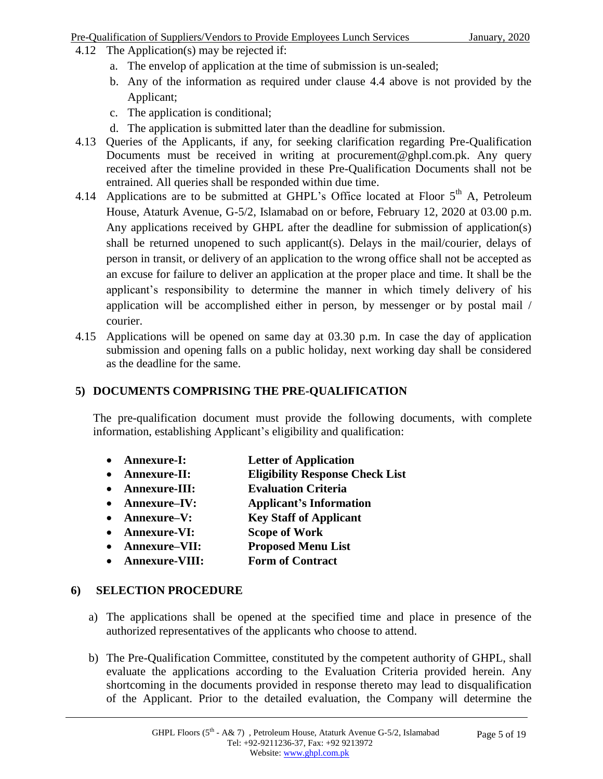#### Pre-Qualification of Suppliers/Vendors to Provide Employees Lunch Services January, 2020

- 4.12 The Application(s) may be rejected if:
	- a. The envelop of application at the time of submission is un-sealed;
	- b. Any of the information as required under clause 4.4 above is not provided by the Applicant;
	- c. The application is conditional;
	- d. The application is submitted later than the deadline for submission.
- 4.13 Queries of the Applicants, if any, for seeking clarification regarding Pre-Qualification Documents must be received in writing at procurement@ghpl.com.pk. Any query received after the timeline provided in these Pre-Qualification Documents shall not be entrained. All queries shall be responded within due time.
- 4.14 Applications are to be submitted at GHPL's Office located at Floor 5<sup>th</sup> A, Petroleum House, Ataturk Avenue, G-5/2, Islamabad on or before, February 12, 2020 at 03.00 p.m. Any applications received by GHPL after the deadline for submission of application(s) shall be returned unopened to such applicant(s). Delays in the mail/courier, delays of person in transit, or delivery of an application to the wrong office shall not be accepted as an excuse for failure to deliver an application at the proper place and time. It shall be the applicant's responsibility to determine the manner in which timely delivery of his application will be accomplished either in person, by messenger or by postal mail / courier.
- 4.15 Applications will be opened on same day at 03.30 p.m. In case the day of application submission and opening falls on a public holiday, next working day shall be considered as the deadline for the same.

#### **5) DOCUMENTS COMPRISING THE PRE-QUALIFICATION**

The pre-qualification document must provide the following documents, with complete information, establishing Applicant's eligibility and qualification:

- **Annexure-I: Letter of Application**
- **Annexure-II: Eligibility Response Check List**
- **Annexure-III: Evaluation Criteria**
- **Annexure–IV: Applicant's Information**
- **Annexure–V: Key Staff of Applicant**
- **Annexure-VI: Scope of Work**
- **Annexure–VII: Proposed Menu List**
- **Annexure-VIII: Form of Contract**

#### **6) SELECTION PROCEDURE**

- a) The applications shall be opened at the specified time and place in presence of the authorized representatives of the applicants who choose to attend.
- b) The Pre-Qualification Committee, constituted by the competent authority of GHPL, shall evaluate the applications according to the Evaluation Criteria provided herein. Any shortcoming in the documents provided in response thereto may lead to disqualification of the Applicant. Prior to the detailed evaluation, the Company will determine the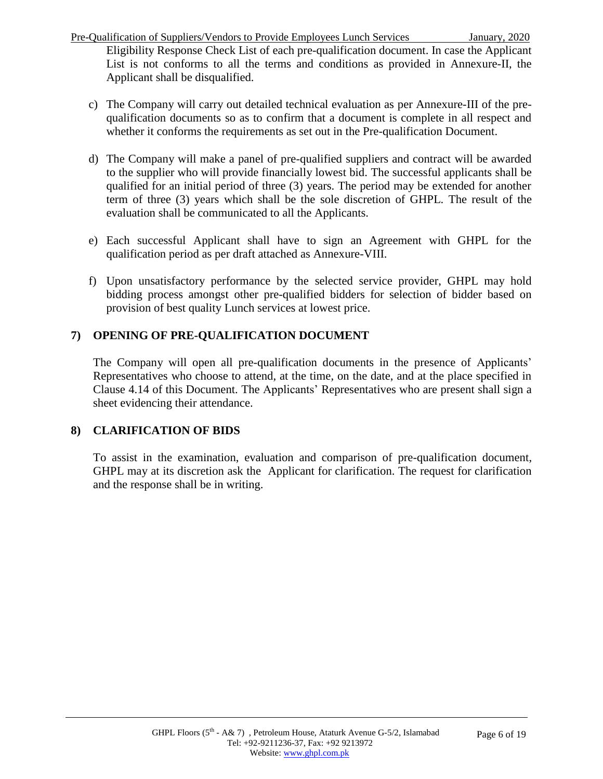Pre-Qualification of Suppliers/Vendors to Provide Employees Lunch Services January, 2020

Eligibility Response Check List of each pre-qualification document. In case the Applicant List is not conforms to all the terms and conditions as provided in Annexure-II, the Applicant shall be disqualified.

- c) The Company will carry out detailed technical evaluation as per Annexure-III of the prequalification documents so as to confirm that a document is complete in all respect and whether it conforms the requirements as set out in the Pre-qualification Document.
- d) The Company will make a panel of pre-qualified suppliers and contract will be awarded to the supplier who will provide financially lowest bid. The successful applicants shall be qualified for an initial period of three (3) years. The period may be extended for another term of three (3) years which shall be the sole discretion of GHPL. The result of the evaluation shall be communicated to all the Applicants.
- e) Each successful Applicant shall have to sign an Agreement with GHPL for the qualification period as per draft attached as Annexure-VIII.
- f) Upon unsatisfactory performance by the selected service provider, GHPL may hold bidding process amongst other pre-qualified bidders for selection of bidder based on provision of best quality Lunch services at lowest price.

# **7) OPENING OF PRE-QUALIFICATION DOCUMENT**

The Company will open all pre-qualification documents in the presence of Applicants' Representatives who choose to attend, at the time, on the date, and at the place specified in Clause 4.14 of this Document. The Applicants' Representatives who are present shall sign a sheet evidencing their attendance.

# **8) CLARIFICATION OF BIDS**

To assist in the examination, evaluation and comparison of pre-qualification document, GHPL may at its discretion ask the Applicant for clarification. The request for clarification and the response shall be in writing.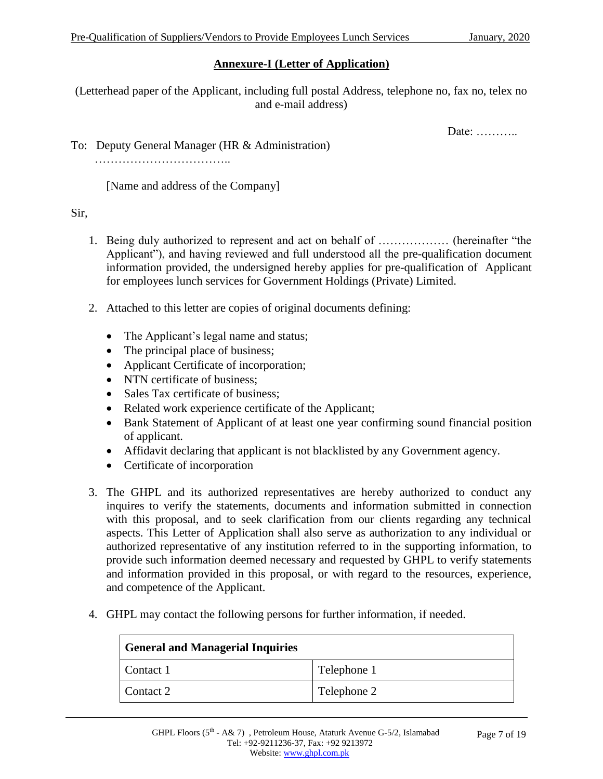#### **Annexure-I (Letter of Application)**

(Letterhead paper of the Applicant, including full postal Address, telephone no, fax no, telex no and e-mail address)

Date: …………

To: Deputy General Manager (HR & Administration)

………………………………………

[Name and address of the Company]

#### Sir,

- 1. Being duly authorized to represent and act on behalf of ……………… (hereinafter "the Applicant"), and having reviewed and full understood all the pre-qualification document information provided, the undersigned hereby applies for pre-qualification of Applicant for employees lunch services for Government Holdings (Private) Limited.
- 2. Attached to this letter are copies of original documents defining:
	- The Applicant's legal name and status;
	- The principal place of business;
	- Applicant Certificate of incorporation;
	- NTN certificate of business;
	- Sales Tax certificate of business:
	- Related work experience certificate of the Applicant;
	- Bank Statement of Applicant of at least one year confirming sound financial position of applicant.
	- Affidavit declaring that applicant is not blacklisted by any Government agency.
	- Certificate of incorporation
- 3. The GHPL and its authorized representatives are hereby authorized to conduct any inquires to verify the statements, documents and information submitted in connection with this proposal, and to seek clarification from our clients regarding any technical aspects. This Letter of Application shall also serve as authorization to any individual or authorized representative of any institution referred to in the supporting information, to provide such information deemed necessary and requested by GHPL to verify statements and information provided in this proposal, or with regard to the resources, experience, and competence of the Applicant.
- 4. GHPL may contact the following persons for further information, if needed.

| <b>General and Managerial Inquiries</b> |             |  |
|-----------------------------------------|-------------|--|
| Contact 1                               | Telephone 1 |  |
| Contact 2                               | Telephone 2 |  |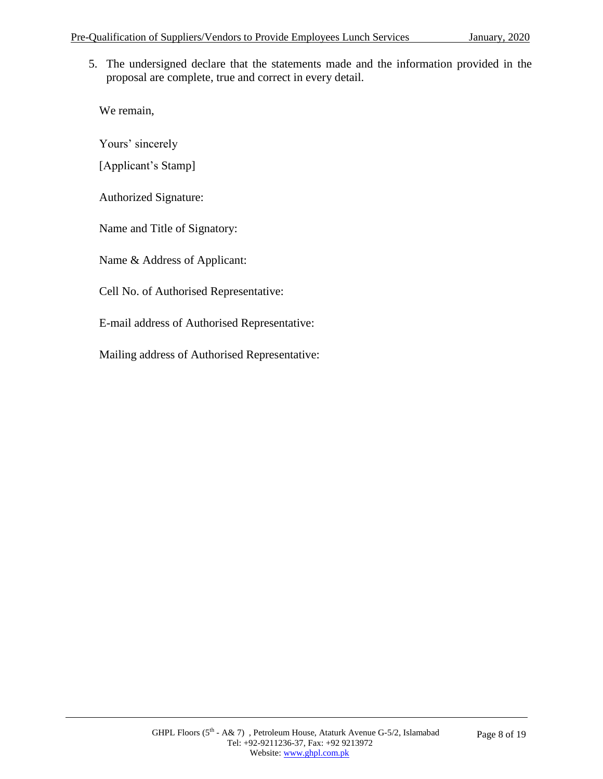5. The undersigned declare that the statements made and the information provided in the proposal are complete, true and correct in every detail.

We remain,

Yours' sincerely

[Applicant's Stamp]

Authorized Signature:

Name and Title of Signatory:

Name & Address of Applicant:

Cell No. of Authorised Representative:

E-mail address of Authorised Representative:

Mailing address of Authorised Representative: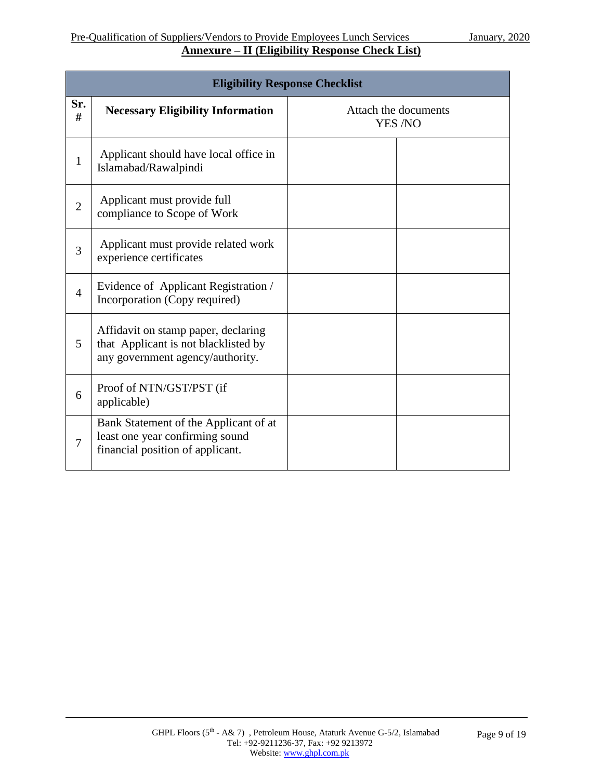|                | <b>Eligibility Response Checklist</b>                                                                           |                                 |  |  |  |
|----------------|-----------------------------------------------------------------------------------------------------------------|---------------------------------|--|--|--|
| Sr.<br>#       | <b>Necessary Eligibility Information</b>                                                                        | Attach the documents<br>YES /NO |  |  |  |
| $\mathbf{1}$   | Applicant should have local office in<br>Islamabad/Rawalpindi                                                   |                                 |  |  |  |
| $\overline{2}$ | Applicant must provide full<br>compliance to Scope of Work                                                      |                                 |  |  |  |
| 3              | Applicant must provide related work<br>experience certificates                                                  |                                 |  |  |  |
| $\overline{4}$ | Evidence of Applicant Registration /<br>Incorporation (Copy required)                                           |                                 |  |  |  |
| 5              | Affidavit on stamp paper, declaring<br>that Applicant is not blacklisted by<br>any government agency/authority. |                                 |  |  |  |
| 6              | Proof of NTN/GST/PST (if<br>applicable)                                                                         |                                 |  |  |  |
| 7              | Bank Statement of the Applicant of at<br>least one year confirming sound<br>financial position of applicant.    |                                 |  |  |  |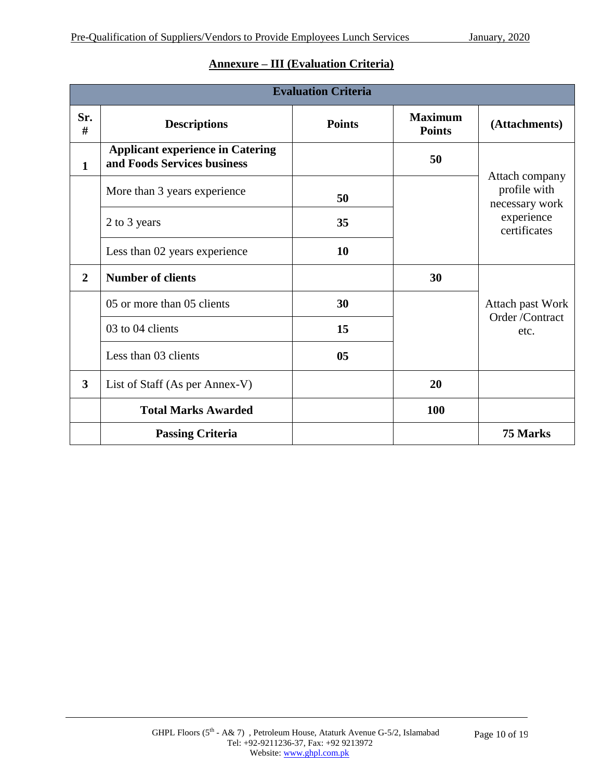|                         | <b>Evaluation Criteria</b>                                             |                |                                 |                                                  |
|-------------------------|------------------------------------------------------------------------|----------------|---------------------------------|--------------------------------------------------|
| Sr.<br>#                | <b>Descriptions</b>                                                    | <b>Points</b>  | <b>Maximum</b><br><b>Points</b> | (Attachments)                                    |
| $\mathbf{1}$            | <b>Applicant experience in Catering</b><br>and Foods Services business |                | 50                              |                                                  |
|                         | More than 3 years experience                                           | 50             |                                 | Attach company<br>profile with<br>necessary work |
|                         | 2 to 3 years                                                           | 35             |                                 | experience<br>certificates                       |
|                         | Less than 02 years experience                                          | 10             |                                 |                                                  |
| $\overline{2}$          | <b>Number of clients</b>                                               |                | 30                              |                                                  |
|                         | 05 or more than 05 clients                                             | 30             |                                 | Attach past Work                                 |
|                         | 03 to 04 clients                                                       | 15             |                                 | Order /Contract<br>etc.                          |
|                         | Less than 03 clients                                                   | 0 <sub>5</sub> |                                 |                                                  |
| $\overline{\mathbf{3}}$ | List of Staff (As per Annex-V)                                         |                | 20                              |                                                  |
|                         | <b>Total Marks Awarded</b>                                             |                | 100                             |                                                  |
|                         | <b>Passing Criteria</b>                                                |                |                                 | 75 Marks                                         |

#### **Annexure – III (Evaluation Criteria)**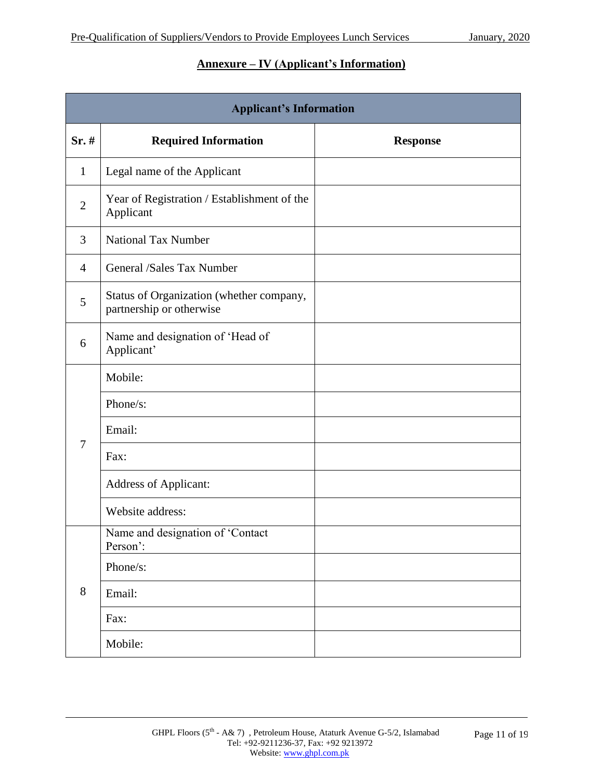#### **Annexure – IV (Applicant's Information)**

| <b>Applicant's Information</b> |                                                                      |                 |  |  |
|--------------------------------|----------------------------------------------------------------------|-----------------|--|--|
| $Sr.$ #                        | <b>Required Information</b>                                          | <b>Response</b> |  |  |
| $\mathbf{1}$                   | Legal name of the Applicant                                          |                 |  |  |
| $\overline{2}$                 | Year of Registration / Establishment of the<br>Applicant             |                 |  |  |
| 3                              | <b>National Tax Number</b>                                           |                 |  |  |
| $\overline{4}$                 | General /Sales Tax Number                                            |                 |  |  |
| 5                              | Status of Organization (whether company,<br>partnership or otherwise |                 |  |  |
| 6                              | Name and designation of 'Head of<br>Applicant'                       |                 |  |  |
|                                | Mobile:                                                              |                 |  |  |
|                                | Phone/s:                                                             |                 |  |  |
| $\overline{7}$                 | Email:                                                               |                 |  |  |
|                                | Fax:                                                                 |                 |  |  |
|                                | <b>Address of Applicant:</b>                                         |                 |  |  |
|                                | Website address:                                                     |                 |  |  |
|                                | Name and designation of Contact<br>Person':                          |                 |  |  |
|                                | Phone/s:                                                             |                 |  |  |
| 8                              | Email:                                                               |                 |  |  |
|                                | Fax:                                                                 |                 |  |  |
|                                | Mobile:                                                              |                 |  |  |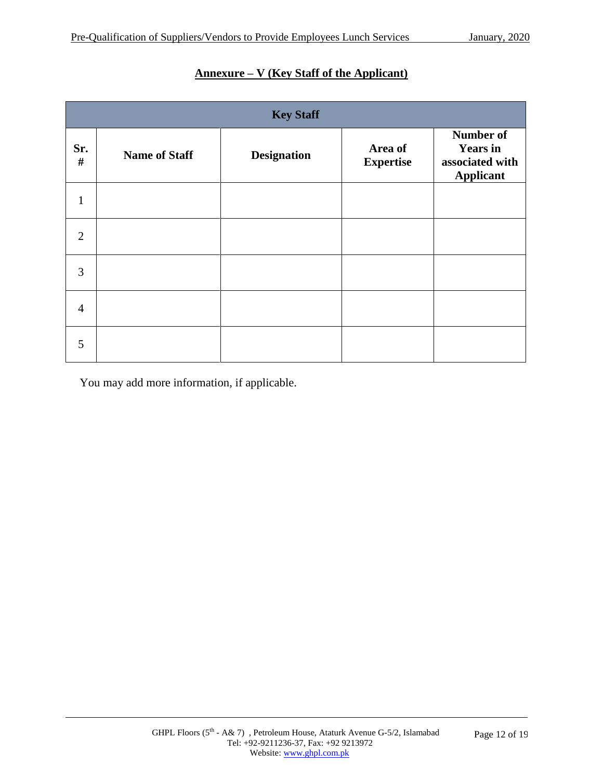| <b>Key Staff</b> |                      |                    |                             |                                                                     |
|------------------|----------------------|--------------------|-----------------------------|---------------------------------------------------------------------|
| Sr.<br>$\#$      | <b>Name of Staff</b> | <b>Designation</b> | Area of<br><b>Expertise</b> | Number of<br><b>Years in</b><br>associated with<br><b>Applicant</b> |
| $\mathbf{1}$     |                      |                    |                             |                                                                     |
| $\overline{2}$   |                      |                    |                             |                                                                     |
| 3                |                      |                    |                             |                                                                     |
| $\overline{4}$   |                      |                    |                             |                                                                     |
| 5                |                      |                    |                             |                                                                     |

### **Annexure – V (Key Staff of the Applicant)**

You may add more information, if applicable.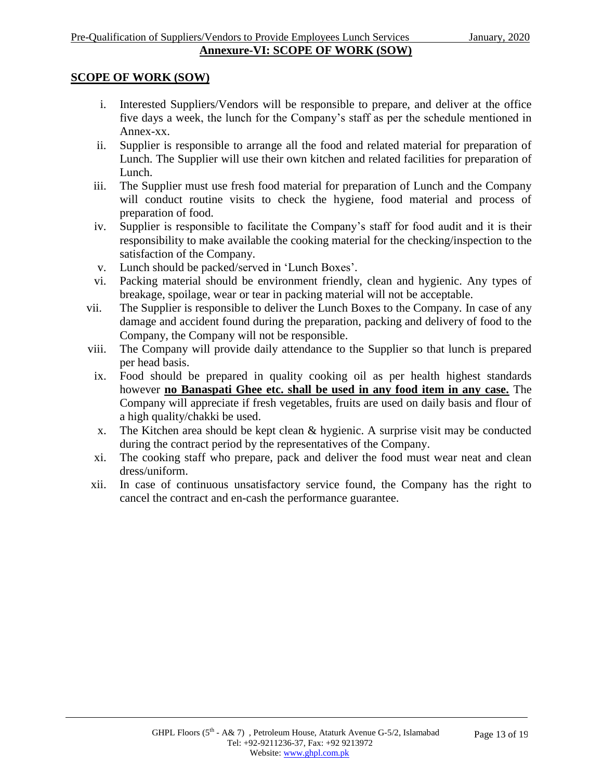#### **SCOPE OF WORK (SOW)**

- i. Interested Suppliers/Vendors will be responsible to prepare, and deliver at the office five days a week, the lunch for the Company's staff as per the schedule mentioned in Annex-xx.
- ii. Supplier is responsible to arrange all the food and related material for preparation of Lunch. The Supplier will use their own kitchen and related facilities for preparation of Lunch.
- iii. The Supplier must use fresh food material for preparation of Lunch and the Company will conduct routine visits to check the hygiene, food material and process of preparation of food.
- iv. Supplier is responsible to facilitate the Company's staff for food audit and it is their responsibility to make available the cooking material for the checking/inspection to the satisfaction of the Company.
- v. Lunch should be packed/served in 'Lunch Boxes'.
- vi. Packing material should be environment friendly, clean and hygienic. Any types of breakage, spoilage, wear or tear in packing material will not be acceptable.
- vii. The Supplier is responsible to deliver the Lunch Boxes to the Company. In case of any damage and accident found during the preparation, packing and delivery of food to the Company, the Company will not be responsible.
- viii. The Company will provide daily attendance to the Supplier so that lunch is prepared per head basis.
- ix. Food should be prepared in quality cooking oil as per health highest standards however **no Banaspati Ghee etc. shall be used in any food item in any case.** The Company will appreciate if fresh vegetables, fruits are used on daily basis and flour of a high quality/chakki be used.
- x. The Kitchen area should be kept clean & hygienic. A surprise visit may be conducted during the contract period by the representatives of the Company.
- xi. The cooking staff who prepare, pack and deliver the food must wear neat and clean dress/uniform.
- xii. In case of continuous unsatisfactory service found, the Company has the right to cancel the contract and en-cash the performance guarantee.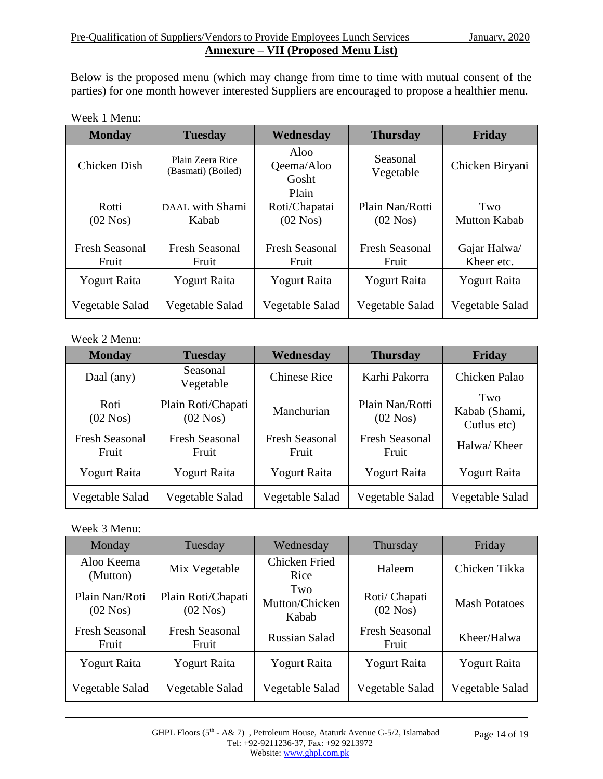Below is the proposed menu (which may change from time to time with mutual consent of the parties) for one month however interested Suppliers are encouraged to propose a healthier menu.

| Week 1 Menu: |  |  |
|--------------|--|--|
|--------------|--|--|

| <b>Monday</b>                  | <b>Tuesday</b>                         | Wednesday                               | <b>Thursday</b>                       | Friday                     |
|--------------------------------|----------------------------------------|-----------------------------------------|---------------------------------------|----------------------------|
| Chicken Dish                   | Plain Zeera Rice<br>(Basmati) (Boiled) | Aloo<br>Qeema/Aloo<br>Gosht             | Seasonal<br>Vegetable                 | Chicken Biryani            |
| Rotti<br>$(02 \text{ Nos})$    | DAAL with Shami<br>Kabab               | Plain<br>Roti/Chapatai<br>$(02$ Nos $)$ | Plain Nan/Rotti<br>$(02 \text{ Nos})$ | Two<br><b>Mutton Kabab</b> |
| <b>Fresh Seasonal</b><br>Fruit | <b>Fresh Seasonal</b><br>Fruit         | <b>Fresh Seasonal</b><br>Fruit          | <b>Fresh Seasonal</b><br>Fruit        | Gajar Halwa/<br>Kheer etc. |
| <b>Yogurt Raita</b>            | <b>Yogurt Raita</b>                    | <b>Yogurt Raita</b>                     | <b>Yogurt Raita</b>                   | <b>Yogurt Raita</b>        |
| Vegetable Salad                | Vegetable Salad                        | Vegetable Salad                         | Vegetable Salad                       | Vegetable Salad            |

#### Week 2 Menu:

| <b>Monday</b>                  | <b>Tuesday</b>                           | Wednesday                      | <b>Thursday</b>                | <b>Friday</b>                       |
|--------------------------------|------------------------------------------|--------------------------------|--------------------------------|-------------------------------------|
| Daal (any)                     | Seasonal<br>Vegetable                    | <b>Chinese Rice</b>            | Karhi Pakorra                  | Chicken Palao                       |
| Roti<br>$(02$ Nos)             | Plain Roti/Chapati<br>$(02 \text{ Nos})$ | Manchurian                     | Plain Nan/Rotti<br>$(02$ Nos)  | Two<br>Kabab (Shami,<br>Cutlus etc) |
| <b>Fresh Seasonal</b><br>Fruit | <b>Fresh Seasonal</b><br>Fruit           | <b>Fresh Seasonal</b><br>Fruit | <b>Fresh Seasonal</b><br>Fruit | Halwa/ Kheer                        |
| <b>Yogurt Raita</b>            | <b>Yogurt Raita</b>                      | <b>Yogurt Raita</b>            | <b>Yogurt Raita</b>            | <b>Yogurt Raita</b>                 |
| Vegetable Salad                | Vegetable Salad                          | Vegetable Salad                | Vegetable Salad                | Vegetable Salad                     |

#### Week 3 Menu:

| Monday                         | Tuesday                          | Wednesday                      | Thursday                       | Friday               |
|--------------------------------|----------------------------------|--------------------------------|--------------------------------|----------------------|
| Aloo Keema<br>(Mutton)         | Mix Vegetable                    | Chicken Fried<br>Rice          | Haleem                         | Chicken Tikka        |
| Plain Nan/Roti<br>$(02$ Nos)   | Plain Roti/Chapati<br>$(02$ Nos) | Two<br>Mutton/Chicken<br>Kabab | Roti/Chapati<br>$(02$ Nos $)$  | <b>Mash Potatoes</b> |
| <b>Fresh Seasonal</b><br>Fruit | <b>Fresh Seasonal</b><br>Fruit   | <b>Russian Salad</b>           | <b>Fresh Seasonal</b><br>Fruit | Kheer/Halwa          |
| <b>Yogurt Raita</b>            | <b>Yogurt Raita</b>              | <b>Yogurt Raita</b>            | <b>Yogurt Raita</b>            | <b>Yogurt Raita</b>  |
| Vegetable Salad                | Vegetable Salad                  | Vegetable Salad                | Vegetable Salad                | Vegetable Salad      |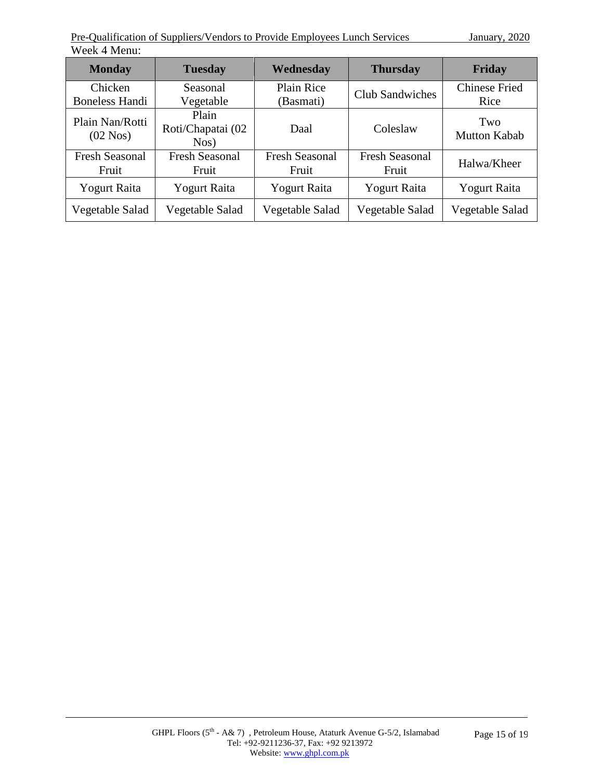| <b>Monday</b>                  | <b>Tuesday</b>                     | Wednesday                      | <b>Thursday</b>                | Friday                     |
|--------------------------------|------------------------------------|--------------------------------|--------------------------------|----------------------------|
| Chicken                        | Seasonal                           | <b>Plain Rice</b>              | <b>Club Sandwiches</b>         | <b>Chinese Fried</b>       |
| <b>Boneless Handi</b>          | Vegetable                          | (Basmati)                      |                                | Rice                       |
| Plain Nan/Rotti<br>$(02$ Nos)  | Plain<br>Roti/Chapatai (02<br>Nos) | Daal                           | Coleslaw                       | Two<br><b>Mutton Kabab</b> |
| <b>Fresh Seasonal</b><br>Fruit | <b>Fresh Seasonal</b><br>Fruit     | <b>Fresh Seasonal</b><br>Fruit | <b>Fresh Seasonal</b><br>Fruit | Halwa/Kheer                |
| <b>Yogurt Raita</b>            | <b>Yogurt Raita</b>                | Yogurt Raita                   | <b>Yogurt Raita</b>            | <b>Yogurt Raita</b>        |
| Vegetable Salad                | Vegetable Salad                    | Vegetable Salad                | Vegetable Salad                | Vegetable Salad            |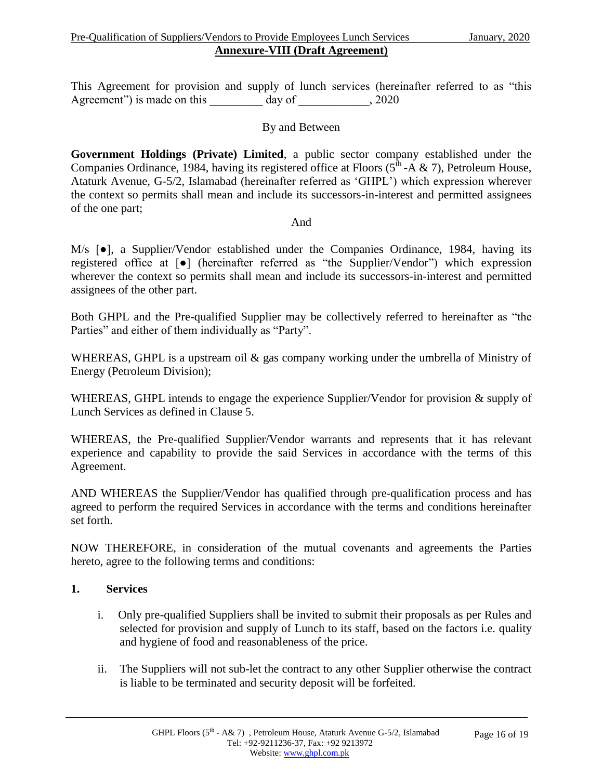This Agreement for provision and supply of lunch services (hereinafter referred to as "this Agreement") is made on this \_\_\_\_\_\_\_\_\_ day of \_\_\_\_\_\_\_\_\_\_, 2020

#### By and Between

**Government Holdings (Private) Limited**, a public sector company established under the Companies Ordinance, 1984, having its registered office at Floors ( $5<sup>th</sup>$ -A & 7), Petroleum House, Ataturk Avenue, G-5/2, Islamabad (hereinafter referred as 'GHPL') which expression wherever the context so permits shall mean and include its successors-in-interest and permitted assignees of the one part;

#### And

M/s  $\bullet$ ], a Supplier/Vendor established under the Companies Ordinance, 1984, having its registered office at [●] (hereinafter referred as "the Supplier/Vendor") which expression wherever the context so permits shall mean and include its successors-in-interest and permitted assignees of the other part.

Both GHPL and the Pre-qualified Supplier may be collectively referred to hereinafter as "the Parties" and either of them individually as "Party".

WHEREAS, GHPL is a upstream oil & gas company working under the umbrella of Ministry of Energy (Petroleum Division);

WHEREAS, GHPL intends to engage the experience Supplier/Vendor for provision & supply of Lunch Services as defined in Clause 5.

WHEREAS, the Pre-qualified Supplier/Vendor warrants and represents that it has relevant experience and capability to provide the said Services in accordance with the terms of this Agreement.

AND WHEREAS the Supplier/Vendor has qualified through pre-qualification process and has agreed to perform the required Services in accordance with the terms and conditions hereinafter set forth.

NOW THEREFORE, in consideration of the mutual covenants and agreements the Parties hereto, agree to the following terms and conditions:

#### **1. Services**

- i. Only pre-qualified Suppliers shall be invited to submit their proposals as per Rules and selected for provision and supply of Lunch to its staff, based on the factors i.e. quality and hygiene of food and reasonableness of the price.
- ii. The Suppliers will not sub-let the contract to any other Supplier otherwise the contract is liable to be terminated and security deposit will be forfeited.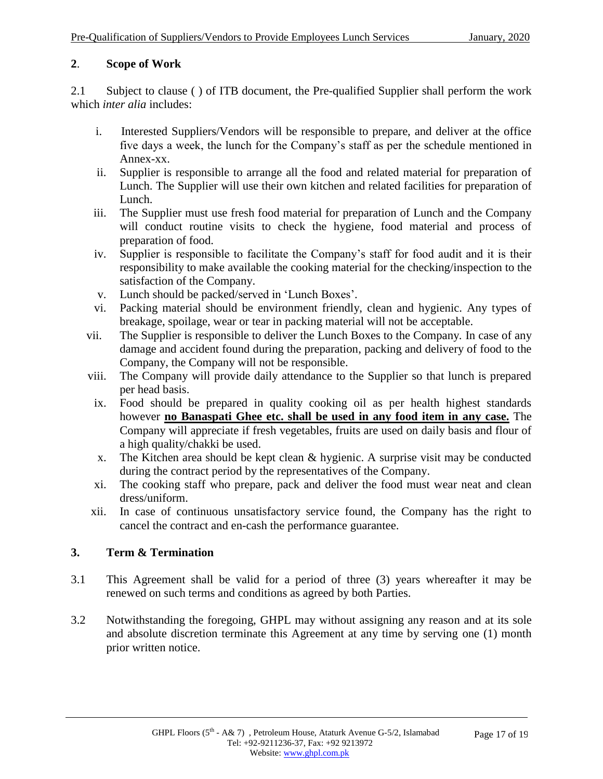#### **2**. **Scope of Work**

2.1 Subject to clause ( ) of ITB document, the Pre-qualified Supplier shall perform the work which *inter alia* includes:

- i. Interested Suppliers/Vendors will be responsible to prepare, and deliver at the office five days a week, the lunch for the Company's staff as per the schedule mentioned in Annex-xx.
- ii. Supplier is responsible to arrange all the food and related material for preparation of Lunch. The Supplier will use their own kitchen and related facilities for preparation of Lunch.
- iii. The Supplier must use fresh food material for preparation of Lunch and the Company will conduct routine visits to check the hygiene, food material and process of preparation of food.
- iv. Supplier is responsible to facilitate the Company's staff for food audit and it is their responsibility to make available the cooking material for the checking/inspection to the satisfaction of the Company.
- v. Lunch should be packed/served in 'Lunch Boxes'.
- vi. Packing material should be environment friendly, clean and hygienic. Any types of breakage, spoilage, wear or tear in packing material will not be acceptable.
- vii. The Supplier is responsible to deliver the Lunch Boxes to the Company. In case of any damage and accident found during the preparation, packing and delivery of food to the Company, the Company will not be responsible.
- viii. The Company will provide daily attendance to the Supplier so that lunch is prepared per head basis.
- ix. Food should be prepared in quality cooking oil as per health highest standards however **no Banaspati Ghee etc. shall be used in any food item in any case.** The Company will appreciate if fresh vegetables, fruits are used on daily basis and flour of a high quality/chakki be used.
- x. The Kitchen area should be kept clean & hygienic. A surprise visit may be conducted during the contract period by the representatives of the Company.
- xi. The cooking staff who prepare, pack and deliver the food must wear neat and clean dress/uniform.
- xii. In case of continuous unsatisfactory service found, the Company has the right to cancel the contract and en-cash the performance guarantee.

#### **3. Term & Termination**

- 3.1 This Agreement shall be valid for a period of three (3) years whereafter it may be renewed on such terms and conditions as agreed by both Parties.
- 3.2 Notwithstanding the foregoing, GHPL may without assigning any reason and at its sole and absolute discretion terminate this Agreement at any time by serving one (1) month prior written notice.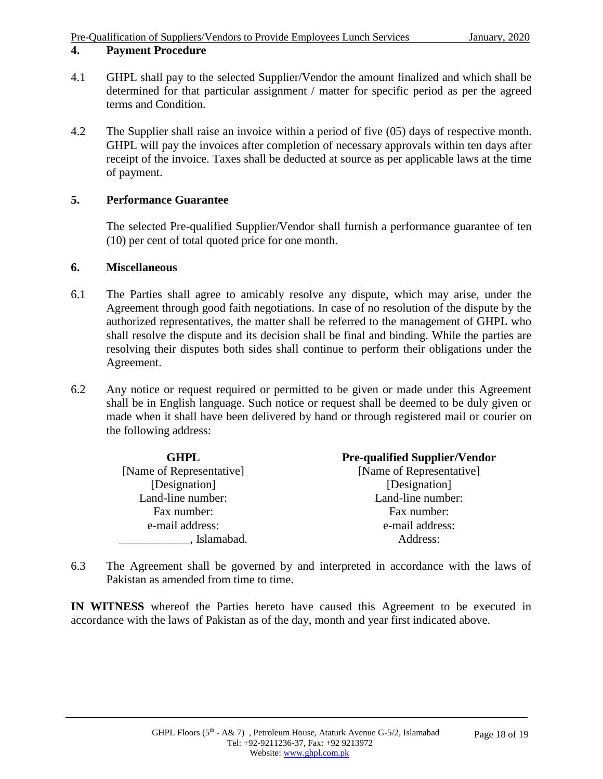#### **4. Payment Procedure**

- 4.1 GHPL shall pay to the selected Supplier/Vendor the amount finalized and which shall be determined for that particular assignment / matter for specific period as per the agreed terms and Condition.
- 4.2 The Supplier shall raise an invoice within a period of five (05) days of respective month. GHPL will pay the invoices after completion of necessary approvals within ten days after receipt of the invoice. Taxes shall be deducted at source as per applicable laws at the time of payment.

#### **5. Performance Guarantee**

The selected Pre-qualified Supplier/Vendor shall furnish a performance guarantee of ten (10) per cent of total quoted price for one month.

#### **6. Miscellaneous**

- 6.1 The Parties shall agree to amicably resolve any dispute, which may arise, under the Agreement through good faith negotiations. In case of no resolution of the dispute by the authorized representatives, the matter shall be referred to the management of GHPL who shall resolve the dispute and its decision shall be final and binding. While the parties are resolving their disputes both sides shall continue to perform their obligations under the Agreement.
- 6.2 Any notice or request required or permitted to be given or made under this Agreement shall be in English language. Such notice or request shall be deemed to be duly given or made when it shall have been delivered by hand or through registered mail or courier on the following address:

| GHPL.                    | <b>Pre-qualified Supplier/Vendor</b> |
|--------------------------|--------------------------------------|
| [Name of Representative] | [Name of Representative]             |
| [Designation]            | [Designation]                        |
| Land-line number:        | Land-line number:                    |
| Fax number:              | Fax number:                          |
| e-mail address:          | e-mail address:                      |
| Islamabad.               | Address:                             |

6.3 The Agreement shall be governed by and interpreted in accordance with the laws of Pakistan as amended from time to time.

**IN WITNESS** whereof the Parties hereto have caused this Agreement to be executed in accordance with the laws of Pakistan as of the day, month and year first indicated above.